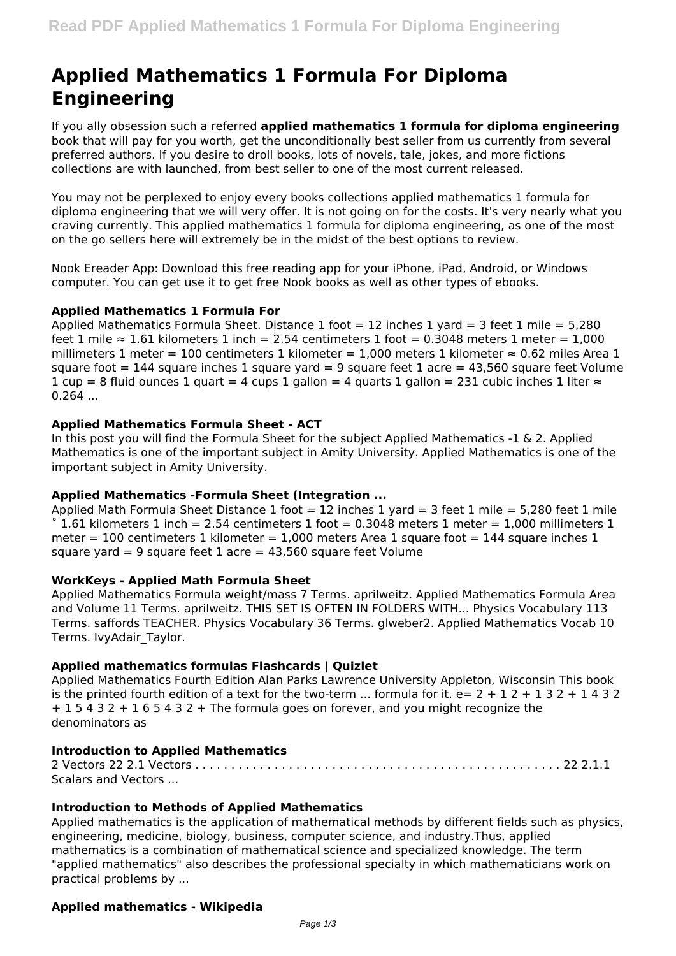# **Applied Mathematics 1 Formula For Diploma Engineering**

If you ally obsession such a referred **applied mathematics 1 formula for diploma engineering** book that will pay for you worth, get the unconditionally best seller from us currently from several preferred authors. If you desire to droll books, lots of novels, tale, jokes, and more fictions collections are with launched, from best seller to one of the most current released.

You may not be perplexed to enjoy every books collections applied mathematics 1 formula for diploma engineering that we will very offer. It is not going on for the costs. It's very nearly what you craving currently. This applied mathematics 1 formula for diploma engineering, as one of the most on the go sellers here will extremely be in the midst of the best options to review.

Nook Ereader App: Download this free reading app for your iPhone, iPad, Android, or Windows computer. You can get use it to get free Nook books as well as other types of ebooks.

# **Applied Mathematics 1 Formula For**

Applied Mathematics Formula Sheet. Distance 1 foot = 12 inches 1 yard = 3 feet 1 mile =  $5,280$ feet 1 mile  $\approx 1.61$  kilometers 1 inch = 2.54 centimeters 1 foot = 0.3048 meters 1 meter = 1,000 millimeters 1 meter = 100 centimeters 1 kilometer = 1,000 meters 1 kilometer  $\approx$  0.62 miles Area 1 square foot  $= 144$  square inches 1 square yard  $= 9$  square feet 1 acre  $= 43,560$  square feet Volume  $1$  cup = 8 fluid ounces 1 quart = 4 cups 1 gallon = 4 quarts 1 gallon = 231 cubic inches 1 liter  $\approx$  $0.264...$ 

#### **Applied Mathematics Formula Sheet - ACT**

In this post you will find the Formula Sheet for the subject Applied Mathematics -1 & 2. Applied Mathematics is one of the important subject in Amity University. Applied Mathematics is one of the important subject in Amity University.

#### **Applied Mathematics -Formula Sheet (Integration ...**

Applied Math Formula Sheet Distance 1 foot =  $12$  inches 1 yard = 3 feet 1 mile = 5,280 feet 1 mile 1.61 kilometers 1 inch = 2.54 centimeters 1 foot = 0.3048 meters 1 meter = 1,000 millimeters 1 meter = 100 centimeters 1 kilometer = 1,000 meters Area 1 square foot = 144 square inches 1 square yard = 9 square feet  $1$  acre = 43,560 square feet Volume

#### **WorkKeys - Applied Math Formula Sheet**

Applied Mathematics Formula weight/mass 7 Terms. aprilweitz. Applied Mathematics Formula Area and Volume 11 Terms. aprilweitz. THIS SET IS OFTEN IN FOLDERS WITH... Physics Vocabulary 113 Terms. saffords TEACHER. Physics Vocabulary 36 Terms. glweber2. Applied Mathematics Vocab 10 Terms. IvyAdair\_Taylor.

# **Applied mathematics formulas Flashcards | Quizlet**

Applied Mathematics Fourth Edition Alan Parks Lawrence University Appleton, Wisconsin This book is the printed fourth edition of a text for the two-term ... formula for it.  $e= 2 + 1 + 2 + 1 + 3 + 2 + 1 + 3 + 2$  $+ 1 5 4 3 2 + 1 6 5 4 3 2 +$  The formula goes on forever, and you might recognize the denominators as

# **Introduction to Applied Mathematics**

2 Vectors 22 2.1 Vectors . . . . . . . . . . . . . . . . . . . . . . . . . . . . . . . . . . . . . . . . . . . . . . . . . . . 22 2.1.1 Scalars and Vectors ...

# **Introduction to Methods of Applied Mathematics**

Applied mathematics is the application of mathematical methods by different fields such as physics, engineering, medicine, biology, business, computer science, and industry.Thus, applied mathematics is a combination of mathematical science and specialized knowledge. The term "applied mathematics" also describes the professional specialty in which mathematicians work on practical problems by ...

# **Applied mathematics - Wikipedia**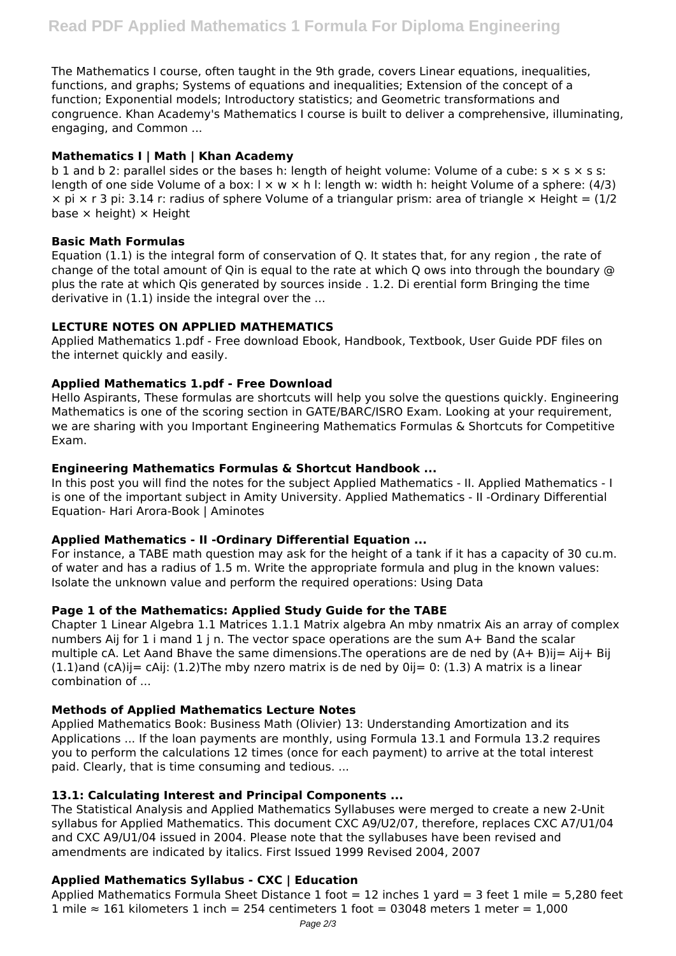The Mathematics I course, often taught in the 9th grade, covers Linear equations, inequalities, functions, and graphs; Systems of equations and inequalities; Extension of the concept of a function; Exponential models; Introductory statistics; and Geometric transformations and congruence. Khan Academy's Mathematics I course is built to deliver a comprehensive, illuminating, engaging, and Common ...

## **Mathematics I | Math | Khan Academy**

b 1 and b 2: parallel sides or the bases h: length of height volume: Volume of a cube:  $s \times s \times s$  s: length of one side Volume of a box:  $x \leq x$  k l: length w: width h: height Volume of a sphere: (4/3)  $\times$  pi  $\times$  r 3 pi: 3.14 r: radius of sphere Volume of a triangular prism: area of triangle  $\times$  Height = (1/2) base  $\times$  height)  $\times$  Height

#### **Basic Math Formulas**

Equation (1.1) is the integral form of conservation of Q. It states that, for any region , the rate of change of the total amount of Qin is equal to the rate at which Q ows into through the boundary @ plus the rate at which Qis generated by sources inside . 1.2. Di erential form Bringing the time derivative in (1.1) inside the integral over the ...

# **LECTURE NOTES ON APPLIED MATHEMATICS**

Applied Mathematics 1.pdf - Free download Ebook, Handbook, Textbook, User Guide PDF files on the internet quickly and easily.

#### **Applied Mathematics 1.pdf - Free Download**

Hello Aspirants, These formulas are shortcuts will help you solve the questions quickly. Engineering Mathematics is one of the scoring section in GATE/BARC/ISRO Exam. Looking at your requirement, we are sharing with you Important Engineering Mathematics Formulas & Shortcuts for Competitive Exam.

#### **Engineering Mathematics Formulas & Shortcut Handbook ...**

In this post you will find the notes for the subject Applied Mathematics - II. Applied Mathematics - I is one of the important subject in Amity University. Applied Mathematics - II -Ordinary Differential Equation- Hari Arora-Book | Aminotes

# **Applied Mathematics - II -Ordinary Differential Equation ...**

For instance, a TABE math question may ask for the height of a tank if it has a capacity of 30 cu.m. of water and has a radius of 1.5 m. Write the appropriate formula and plug in the known values: Isolate the unknown value and perform the required operations: Using Data

# **Page 1 of the Mathematics: Applied Study Guide for the TABE**

Chapter 1 Linear Algebra 1.1 Matrices 1.1.1 Matrix algebra An mby nmatrix Ais an array of complex numbers Aij for 1 i mand 1 j n. The vector space operations are the sum A+ Band the scalar multiple cA. Let Aand Bhave the same dimensions.The operations are de ned by (A+ B)ij= Aij+ Bij  $(1.1)$ and  $(cA)$ ij=  $cA$ ij:  $(1.2)$ The mby nzero matrix is de ned by 0ij= 0:  $(1.3)$  A matrix is a linear combination of ...

# **Methods of Applied Mathematics Lecture Notes**

Applied Mathematics Book: Business Math (Olivier) 13: Understanding Amortization and its Applications ... If the loan payments are monthly, using Formula 13.1 and Formula 13.2 requires you to perform the calculations 12 times (once for each payment) to arrive at the total interest paid. Clearly, that is time consuming and tedious. ...

# **13.1: Calculating Interest and Principal Components ...**

The Statistical Analysis and Applied Mathematics Syllabuses were merged to create a new 2-Unit syllabus for Applied Mathematics. This document CXC A9/U2/07, therefore, replaces CXC A7/U1/04 and CXC A9/U1/04 issued in 2004. Please note that the syllabuses have been revised and amendments are indicated by italics. First Issued 1999 Revised 2004, 2007

# **Applied Mathematics Syllabus - CXC | Education**

Applied Mathematics Formula Sheet Distance 1 foot = 12 inches 1 yard = 3 feet 1 mile = 5,280 feet 1 mile ≈ 161 kilometers 1 inch = 254 centimeters 1 foot = 03048 meters 1 meter = 1,000